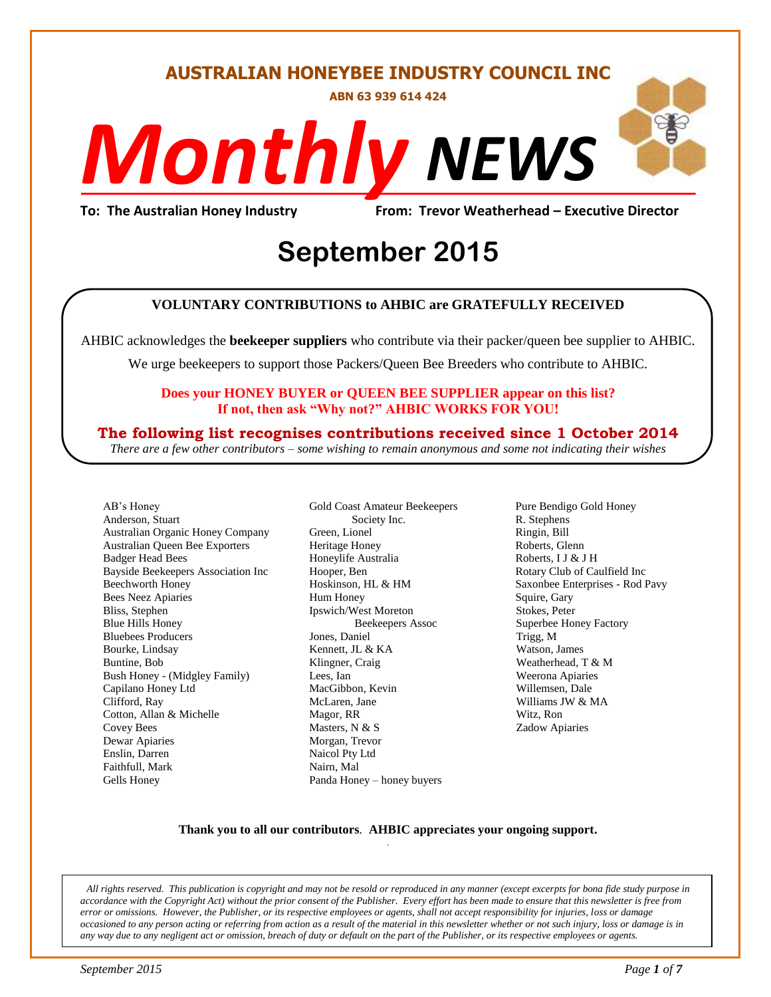#### **AUSTRALIAN HONEYBEE INDUSTRY COUNCIL INC**

**ABN 63 939 614 424**

# *NEWS Monthly*

**To: The Australian Honey Industry From: Trevor Weatherhead – Executive Director**

## *DS* **September 2015**

#### **VOLUNTARY CONTRIBUTIONS to AHBIC are GRATEFULLY RECEIVED**

AHBIC acknowledges the **beekeeper suppliers** who contribute via their packer/queen bee supplier to AHBIC.

We urge beekeepers to support those Packers/Queen Bee Breeders who contribute to AHBIC.

#### **Does your HONEY BUYER or QUEEN BEE SUPPLIER appear on this list? If not, then ask "Why not?" AHBIC WORKS FOR YOU!**

#### **The following list recognises contributions received since 1 October 2014**

*There are a few other contributors – some wishing to remain anonymous and some not indicating their wishes*

AB's Honey Anderson, Stuart Australian Organic Honey Company Australian Queen Bee Exporters Badger Head Bees Bayside Beekeepers Association Inc Beechworth Honey Bees Neez Apiaries Bliss, Stephen Blue Hills Honey Bluebees Producers Bourke, Lindsay Buntine, Bob Bush Honey - (Midgley Family) Capilano Honey Ltd Clifford, Ray Cotton, Allan & Michelle Covey Bees Dewar Apiaries Enslin, Darren Faithfull, Mark Gells Honey

Gold Coast Amateur Beekeepers Society Inc. Green, Lionel Heritage Honey Honeylife Australia Hooper, Ben Hoskinson, HL & HM Hum Honey Ipswich/West Moreton Beekeepers Assoc Jones, Daniel Kennett, JL & KA Klingner, Craig Lees, Ian MacGibbon, Kevin McLaren, Jane Magor, RR Masters, N & S Morgan, Trevor Naicol Pty Ltd Nairn, Mal Panda Honey – honey buyers

Pure Bendigo Gold Honey R. Stephens Ringin, Bill Roberts, Glenn Roberts, I J & J H Rotary Club of Caulfield Inc Saxonbee Enterprises - Rod Pavy Squire, Gary Stokes, Peter Superbee Honey Factory Trigg, M Watson, James Weatherhead, T & M Weerona Apiaries Willemsen, Dale Williams JW & MA Witz, Ron Zadow Apiaries

#### **Thank you to all our contributors***.* **AHBIC appreciates your ongoing support.** .

*All rights reserved. This publication is copyright and may not be resold or reproduced in any manner (except excerpts for bona fide study purpose in accordance with the Copyright Act) without the prior consent of the Publisher. Every effort has been made to ensure that this newsletter is free from error or omissions. However, the Publisher, or its respective employees or agents, shall not accept responsibility for injuries, loss or damage occasioned to any person acting or referring from action as a result of the material in this newsletter whether or not such injury, loss or damage is in any way due to any negligent act or omission, breach of duty or default on the part of the Publisher, or its respective employees or agents.*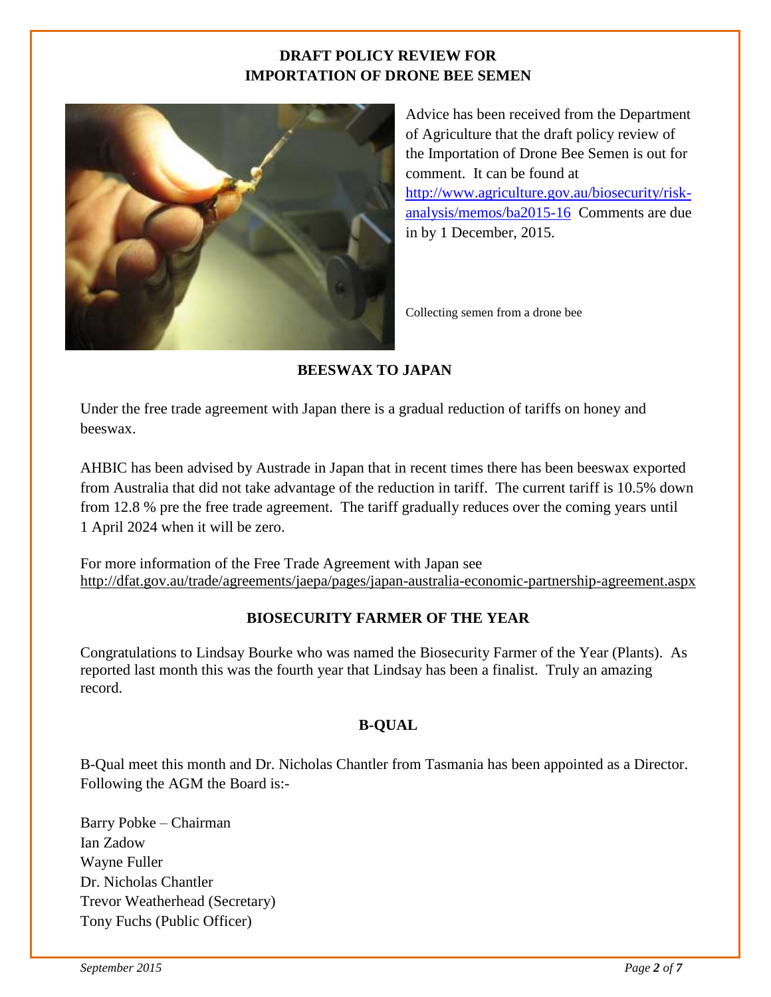#### **DRAFT POLICY REVIEW FOR IMPORTATION OF DRONE BEE SEMEN**



Advice has been received from the Department of Agriculture that the draft policy review of the Importation of Drone Bee Semen is out for comment. It can be found at [http://www.agriculture.gov.au/biosecurity/risk](http://www.agriculture.gov.au/biosecurity/risk-analysis/memos/ba2015-16)[analysis/memos/ba2015-16](http://www.agriculture.gov.au/biosecurity/risk-analysis/memos/ba2015-16) Comments are due in by 1 December, 2015.

Collecting semen from a drone bee

#### **BEESWAX TO JAPAN**

Under the free trade agreement with Japan there is a gradual reduction of tariffs on honey and beeswax.

AHBIC has been advised by Austrade in Japan that in recent times there has been beeswax exported from Australia that did not take advantage of the reduction in tariff. The current tariff is 10.5% down from 12.8 % pre the free trade agreement. The tariff gradually reduces over the coming years until 1 April 2024 when it will be zero.

For more information of the Free Trade Agreement with Japan see <http://dfat.gov.au/trade/agreements/jaepa/pages/japan-australia-economic-partnership-agreement.aspx>

#### **BIOSECURITY FARMER OF THE YEAR**

Congratulations to Lindsay Bourke who was named the Biosecurity Farmer of the Year (Plants). As reported last month this was the fourth year that Lindsay has been a finalist. Truly an amazing record.

#### **B-QUAL**

B-Qual meet this month and Dr. Nicholas Chantler from Tasmania has been appointed as a Director. Following the AGM the Board is:-

Barry Pobke – Chairman Ian Zadow Wayne Fuller Dr. Nicholas Chantler Trevor Weatherhead (Secretary) Tony Fuchs (Public Officer)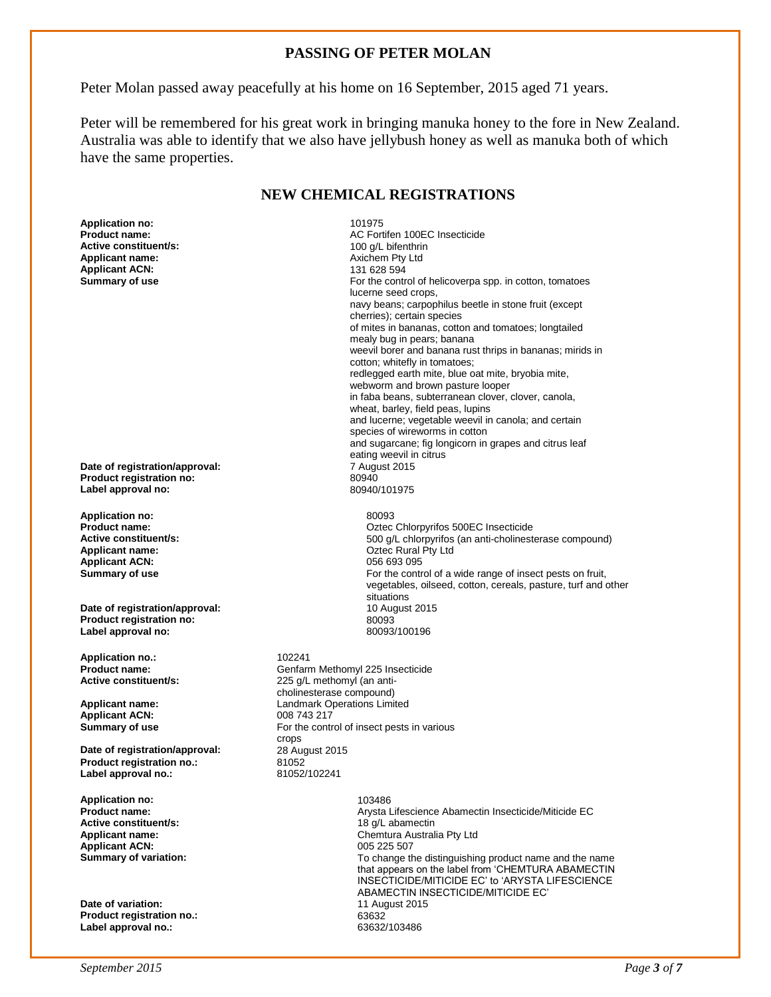#### **PASSING OF PETER MOLAN**

Peter Molan passed away peacefully at his home on 16 September, 2015 aged 71 years.

Peter will be remembered for his great work in bringing manuka honey to the fore in New Zealand. Australia was able to identify that we also have jellybush honey as well as manuka both of which have the same properties.

#### **NEW CHEMICAL REGISTRATIONS**

**Application no:**  $101975$ <br>**Product name:**  $AC$  Fort **Active constituent/s:**<br>Applicant name: **Applicant ACN:** 

**Date of registration/approval:** 7 August 2015 **Product registration no:** 80940 **Label approval no:** 

**Application no:** 80093 **Applicant ACN:** 056 693 095<br> **Summary of use** extending the contract of the contract of the contract of the contract of the contract of the contract of the contract of the contract of the contract of the contract of the c

**Date of registration/approval:** 10 August 2015<br> **Product registration no:** 80093 **Product registration no:** 80093 **Label approval no:** 

**Application no.:** 102241<br>**Product name:** 6enfam

**Applicant ACN:** 

**Date of registration/approval:** 28 August 28 August 28 August 20152 **Product registration no.:** 81052<br>
Label approval no.: 81052/102241 Label approval no.:

**Application no:** 103486 **Active constituent/s:**  $\begin{array}{ccc} 18 \text{ g/L} & \text{abamectin} \\ \text{A \textbf{m} & \textbf{m} \\ \text{B \textbf{m} & \textbf{m} \\ \text{B \textbf{m} & \textbf{m} \\ \text{A \textbf{m} & \textbf{m} \\ \textbf{m} & \textbf{m} \\ \textbf{m} & \textbf{m} \\ \textbf{m} & \textbf{m} \\ \textbf{m} & \textbf{m} \\ \textbf{m} & \textbf{m} \\ \textbf{m} & \textbf{m} \\ \textbf{m} & \textbf{m} \\ \$ **Applicant ACN:** 005 225 507<br> **Summary of variation:** 005 225 507<br>
To change the summary of variation:

**Date of variation: Product registration no.:** 63632 Label approval no.:

AC Fortifen 100EC Insecticide<br>100 q/L bifenthrin Axichem Pty Ltd<br>131 628 594 **Summary of use For the control of helicoverpa spp. in cotton, tomatoes For the control of helicoverpa spp. in cotton, tomatoes** lucerne seed crops, navy beans; carpophilus beetle in stone fruit (except cherries); certain species of mites in bananas, cotton and tomatoes; longtailed mealy bug in pears; banana weevil borer and banana rust thrips in bananas; mirids in cotton; whitefly in tomatoes; redlegged earth mite, blue oat mite, bryobia mite, webworm and brown pasture looper in faba beans, subterranean clover, clover, canola, wheat, barley, field peas, lupins and lucerne; vegetable weevil in canola; and certain species of wireworms in cotton and sugarcane; fig longicorn in grapes and citrus leaf eating weevil in citrus<br>7 August 2015

**Product name: Product name: Product name: Product name: Active constituent/s: Product name: Product name: Product name: Product name: Product name: Product name: Product name: Product name: Produ Active constituent/s:** <br>**Applicant name:** <br>**Applicant name:** <br>**Applicant name:** <br>**Applicant name:** <br>**C**ztec Rural Pty Ltd **Oztec Rural Pty Ltd** For the control of a wide range of insect pests on fruit, vegetables, oilseed, cotton, cereals, pasture, turf and other situations

**Product name: Calcularies Confidential Section** Genfarm Methomyl 225 Insecticide<br> **Active constituent/s:** 225 a/l methomyl (an anti-225 g/L methomyl (an anticholinesterase compound) **Applicant name:** Landmark Operations Limited **Summary of use For the control of insect pests in various** crops<br>28 August 2015

> **Product name:** Arysta Lifescience Abamectin Insecticide/Miticide EC **Applicant name:** Chemtura Australia Pty Ltd To change the distinguishing product name and the name that appears on the label from 'CHEMTURA ABAMECTIN INSECTICIDE/MITICIDE EC' to 'ARYSTA LIFESCIENCE ABAMECTIN INSECTICIDE/MITICIDE EC'<br>11 August 2015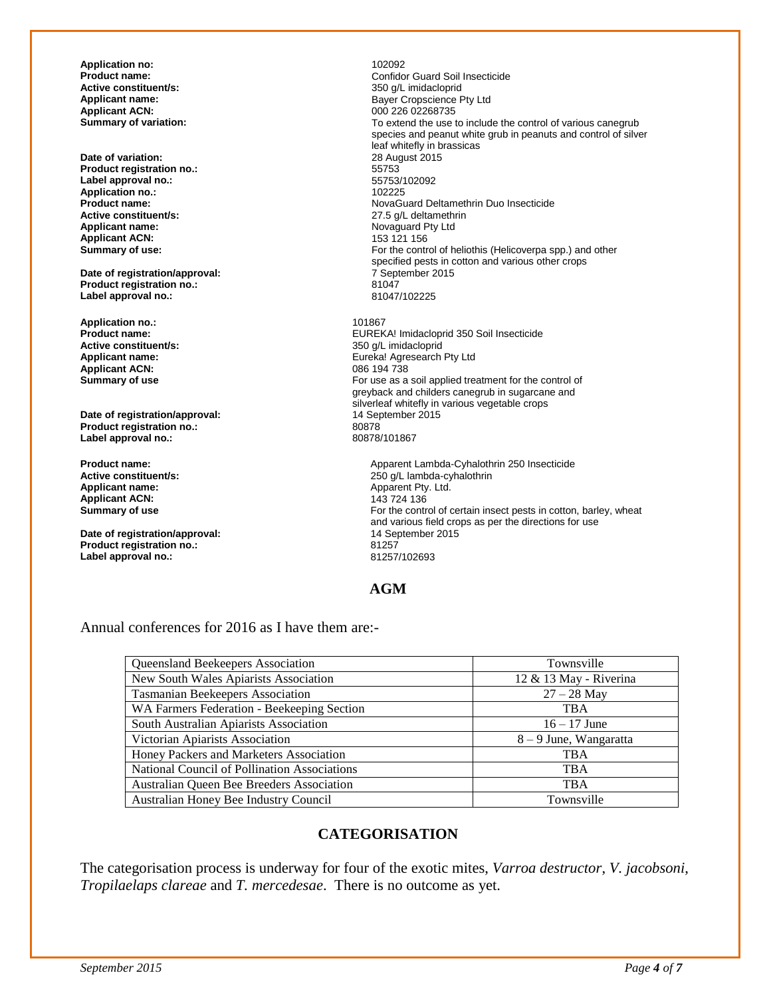**Application no:**  $\qquad \qquad \qquad$  102092<br>**Product name:** Confide **Active constituent/s:** <br> **Applicant name:** <br> **Applicant name:** <br> **Applicant name:** <br> **Applicant name:** <br> **Applicant name:** <br> **Applicant name:** <br> **Applicant name:** <br> **Applicant name:** <br> **Applicant name:** <br> **Applicant name: Applicant ACN: CONSISTED APPLICANT ACTS**<br> **Summary of variation: CONSISTED ACTS** To extend the use to

**Date of variation:** 28 August 2015 **Product registration no.:** 55753 **Label approval no.:** 55753/102092 Application no.:<br>Product name: **Active constituent/s:** <br> **Applicant name:** <br> **Applicant name:** <br> **Applicant name:** <br> **Applicant name:** <br> **Applicant name:** <br> **Applicant name:** <br> **Applicant name:** <br> **Applicant name:** <br> **Applicant name:** <br> **Applicant name: Applicant ACN:**<br>Summary of use:

**Date of registration/approval:**  $7^{\circ}$  September 2015 12:00  $\frac{7}{8}$  20147 **Product registration no.:** 81047 **Label approval no.:** 

**Application no.:** 101867 **Active constituent/s:**<br>Applicant name: **Applicant ACN:**<br>Summary of use

**Date of registration/approval:** 14 September 2015<br> **Product registration no.:** 20278 **Product registration no.:** 80878 Label approval no.:

**Applicant ACN:**<br>Summary of use

**Date of registration/approval:** 14 September 2015<br> **Product registration no.:** 81257 **Product registration no.:** 81257 **Label approval no.:** 

**Product name: Product name: Confidor Guard Soil Insecticide**<br> **Active constituent/s: Confidential Solution** and a strategy of the strategy of the strategy of the strategy of the strategy of the strategy of the strat **Applicant name:** Bayer Cropscience Pty Ltd To extend the use to include the control of various canegrub species and peanut white grub in peanuts and control of silver leaf whitefly in brassicas **Product name: Product name: NovaGuard Deltamethrin Duo Insecticide**<br> **Active constituent/s:** 27.5 g/L deltamethrin Novaguard Pty Ltd<br>153 121 156 For the control of heliothis (Helicoverpa spp.) and other specified pests in cotton and various other crops<br>7 September 2015

EUREKA! Imidacloprid 350 Soil Insecticide<br>350 g/L imidacloprid Eureka! Agresearch Pty Ltd<br>086 194 738 For use as a soil applied treatment for the control of greyback and childers canegrub in sugarcane and silverleaf whitefly in various vegetable crops<br>14 September 2015

**Product name: Apparent Lambda-Cyhalothrin 250 Insecticide**<br> **Active constituent/s: Active constituent/s: Active constituent/s: Active constituent/s: Active constituent/s: Active constituent/s: Active constit Active constituent/s:** <br> **Applicant name:** <br> **Applicant name:** <br> **Applicant name:** <br> **Applicant name:** <br> **Applicant name:** <br> **Applicant name:** <br> **Applicant name:** <br> **Applicant name:** <br> **Applicant name:** <br> **Applicant name:** Apparent Pty. Ltd.<br>143 724 136 For the control of certain insect pests in cotton, barley, wheat and various field crops as per the directions for use

#### **AGM**

Annual conferences for 2016 as I have them are:-

| Queensland Beekeepers Association            | Townsville             |
|----------------------------------------------|------------------------|
| New South Wales Apiarists Association        | 12 & 13 May - Riverina |
| Tasmanian Beekeepers Association             | $27 - 28$ May          |
| WA Farmers Federation - Beekeeping Section   | <b>TBA</b>             |
| South Australian Apiarists Association       | $16 - 17$ June         |
| Victorian Apiarists Association              | 8 – 9 June, Wangaratta |
| Honey Packers and Marketers Association      | <b>TBA</b>             |
| National Council of Pollination Associations | <b>TBA</b>             |
| Australian Queen Bee Breeders Association    | <b>TBA</b>             |
| Australian Honey Bee Industry Council        | Townsville             |

#### **CATEGORISATION**

The categorisation process is underway for four of the exotic mites, *Varroa destructor*, *V. jacobsoni*, *Tropilaelaps clareae* and *T. mercedesae*. There is no outcome as yet.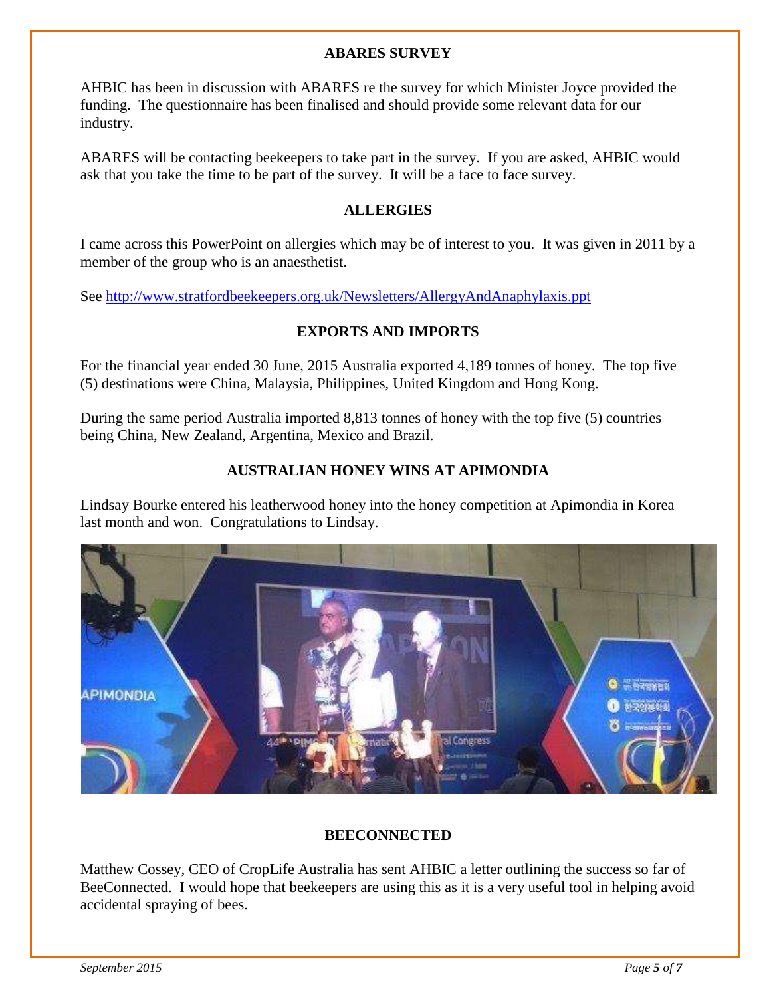#### **ABARES SURVEY**

AHBIC has been in discussion with ABARES re the survey for which Minister Joyce provided the funding. The questionnaire has been finalised and should provide some relevant data for our industry.

ABARES will be contacting beekeepers to take part in the survey. If you are asked, AHBIC would ask that you take the time to be part of the survey. It will be a face to face survey.

#### **ALLERGIES**

I came across this PowerPoint on allergies which may be of interest to you. It was given in 2011 by a member of the group who is an anaesthetist.

See<http://www.stratfordbeekeepers.org.uk/Newsletters/AllergyAndAnaphylaxis.ppt>

#### **EXPORTS AND IMPORTS**

For the financial year ended 30 June, 2015 Australia exported 4,189 tonnes of honey. The top five (5) destinations were China, Malaysia, Philippines, United Kingdom and Hong Kong.

During the same period Australia imported 8,813 tonnes of honey with the top five (5) countries being China, New Zealand, Argentina, Mexico and Brazil.

#### **AUSTRALIAN HONEY WINS AT APIMONDIA**

Lindsay Bourke entered his leatherwood honey into the honey competition at Apimondia in Korea last month and won. Congratulations to Lindsay.



#### **BEECONNECTED**

Matthew Cossey, CEO of CropLife Australia has sent AHBIC a letter outlining the success so far of BeeConnected. I would hope that beekeepers are using this as it is a very useful tool in helping avoid accidental spraying of bees.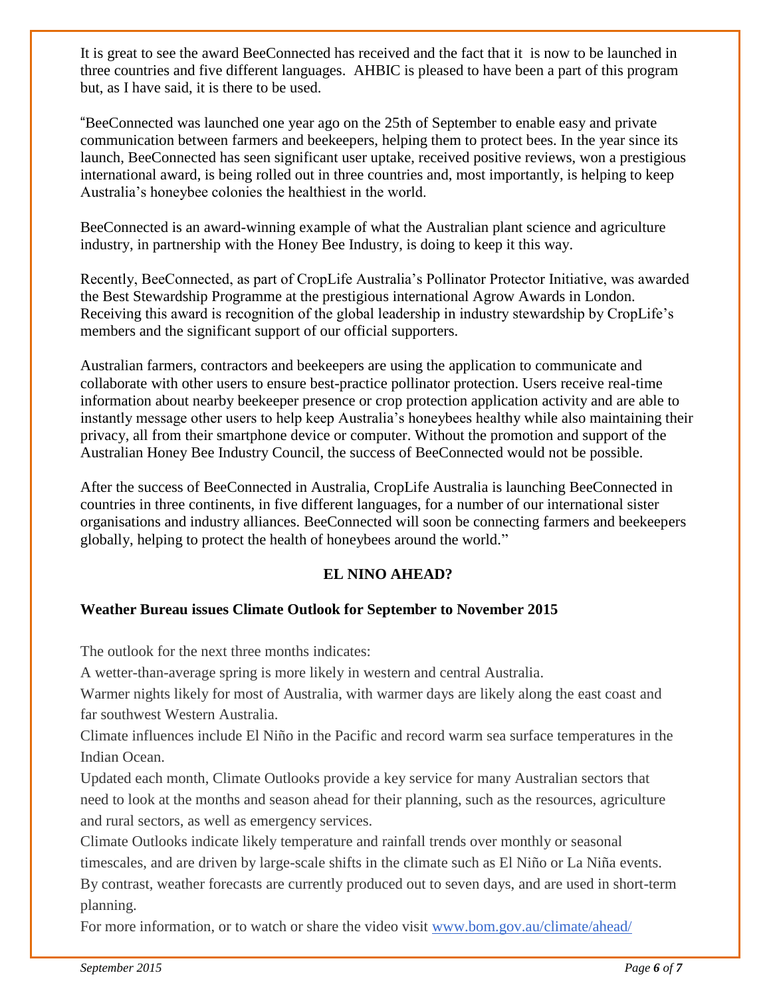It is great to see the award BeeConnected has received and the fact that it is now to be launched in three countries and five different languages. AHBIC is pleased to have been a part of this program but, as I have said, it is there to be used.

"BeeConnected was launched one year ago on the 25th of September to enable easy and private communication between farmers and beekeepers, helping them to protect bees. In the year since its launch, BeeConnected has seen significant user uptake, received positive reviews, won a prestigious international award, is being rolled out in three countries and, most importantly, is helping to keep Australia's honeybee colonies the healthiest in the world.

BeeConnected is an award-winning example of what the Australian plant science and agriculture industry, in partnership with the Honey Bee Industry, is doing to keep it this way.

Recently, BeeConnected, as part of CropLife Australia's Pollinator Protector Initiative, was awarded the Best Stewardship Programme at the prestigious international Agrow Awards in London. Receiving this award is recognition of the global leadership in industry stewardship by CropLife's members and the significant support of our official supporters.

Australian farmers, contractors and beekeepers are using the application to communicate and collaborate with other users to ensure best-practice pollinator protection. Users receive real-time information about nearby beekeeper presence or crop protection application activity and are able to instantly message other users to help keep Australia's honeybees healthy while also maintaining their privacy, all from their smartphone device or computer. Without the promotion and support of the Australian Honey Bee Industry Council, the success of BeeConnected would not be possible.

After the success of BeeConnected in Australia, CropLife Australia is launching BeeConnected in countries in three continents, in five different languages, for a number of our international sister organisations and industry alliances. BeeConnected will soon be connecting farmers and beekeepers globally, helping to protect the health of honeybees around the world."

#### **EL NINO AHEAD?**

#### **Weather Bureau issues Climate Outlook for September to November 2015**

The outlook for the next three months indicates:

A wetter-than-average spring is more likely in western and central Australia.

Warmer nights likely for most of Australia, with warmer days are likely along the east coast and far southwest Western Australia.

Climate influences include El Niño in the Pacific and record warm sea surface temperatures in the Indian Ocean.

Updated each month, Climate Outlooks provide a key service for many Australian sectors that need to look at the months and season ahead for their planning, such as the resources, agriculture and rural sectors, as well as emergency services.

Climate Outlooks indicate likely temperature and rainfall trends over monthly or seasonal timescales, and are driven by large-scale shifts in the climate such as El Niño or La Niña events. By contrast, weather forecasts are currently produced out to seven days, and are used in short-term planning.

For more information, or to watch or share the video visit [www.bom.gov.au/climate/ahead/](http://www.bom.gov.au/climate/ahead/)